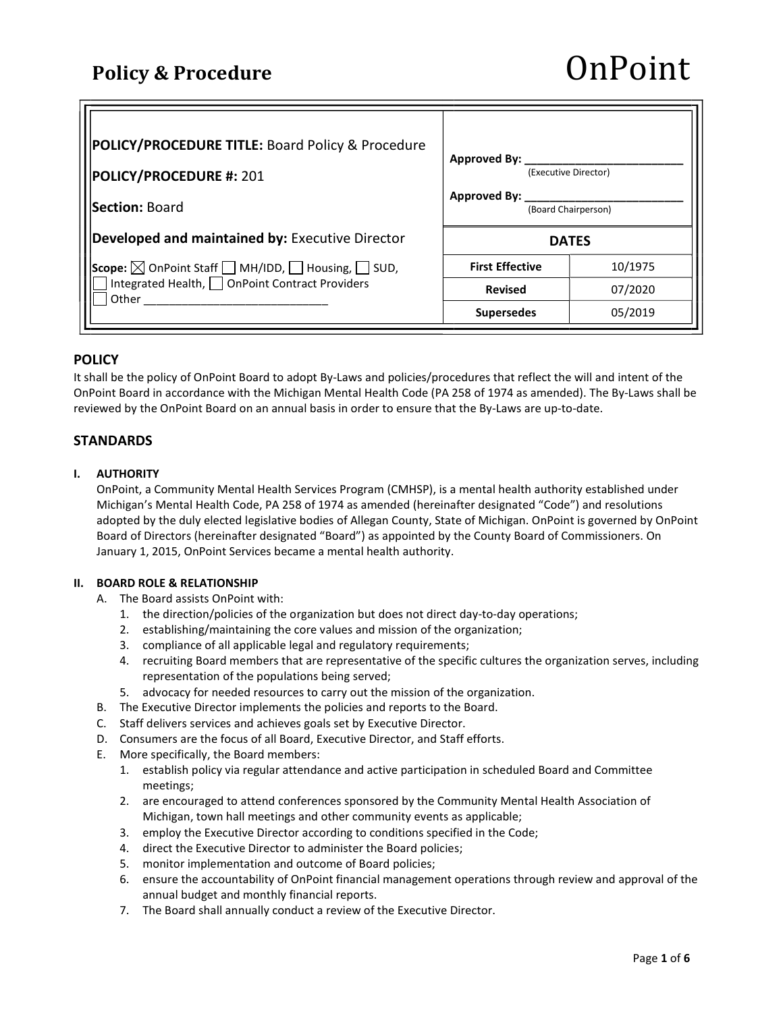| POLICY/PROCEDURE TITLE: Board Policy & Procedure                                                                                               |                                      |         |
|------------------------------------------------------------------------------------------------------------------------------------------------|--------------------------------------|---------|
|                                                                                                                                                | Approved By:<br>(Executive Director) |         |
| <b>POLICY/PROCEDURE #: 201</b>                                                                                                                 |                                      |         |
| Section: Board                                                                                                                                 | Approved By:<br>(Board Chairperson)  |         |
| Developed and maintained by: Executive Director                                                                                                | <b>DATES</b>                         |         |
| <b>Scope:</b> $\boxtimes$ OnPoint Staff $\Box$ MH/IDD, $\Box$ Housing, $\Box$ SUD, $\Box$ Integrated Health, $\Box$ OnPoint Contract Providers | <b>First Effective</b>               | 10/1975 |
| Other                                                                                                                                          | <b>Revised</b>                       | 07/2020 |
|                                                                                                                                                | <b>Supersedes</b>                    | 05/2019 |

# POLICY

It shall be the policy of OnPoint Board to adopt By-Laws and policies/procedures that reflect the will and intent of the OnPoint Board in accordance with the Michigan Mental Health Code (PA 258 of 1974 as amended). The By-Laws shall be reviewed by the OnPoint Board on an annual basis in order to ensure that the By-Laws are up-to-date.

# **STANDARDS**

# I. AUTHORITY

OnPoint, a Community Mental Health Services Program (CMHSP), is a mental health authority established under Michigan's Mental Health Code, PA 258 of 1974 as amended (hereinafter designated "Code") and resolutions adopted by the duly elected legislative bodies of Allegan County, State of Michigan. OnPoint is governed by OnPoint Board of Directors (hereinafter designated "Board") as appointed by the County Board of Commissioners. On January 1, 2015, OnPoint Services became a mental health authority.

#### II. BOARD ROLE & RELATIONSHIP

- A. The Board assists OnPoint with:
	- 1. the direction/policies of the organization but does not direct day-to-day operations;
	- 2. establishing/maintaining the core values and mission of the organization;
	- 3. compliance of all applicable legal and regulatory requirements;
	- 4. recruiting Board members that are representative of the specific cultures the organization serves, including representation of the populations being served;
	- 5. advocacy for needed resources to carry out the mission of the organization.
- B. The Executive Director implements the policies and reports to the Board.
- C. Staff delivers services and achieves goals set by Executive Director.
- D. Consumers are the focus of all Board, Executive Director, and Staff efforts.
- E. More specifically, the Board members:
	- 1. establish policy via regular attendance and active participation in scheduled Board and Committee meetings;
	- 2. are encouraged to attend conferences sponsored by the Community Mental Health Association of Michigan, town hall meetings and other community events as applicable;
	- 3. employ the Executive Director according to conditions specified in the Code;
	- 4. direct the Executive Director to administer the Board policies;
	- 5. monitor implementation and outcome of Board policies;
	- 6. ensure the accountability of OnPoint financial management operations through review and approval of the annual budget and monthly financial reports.
	- 7. The Board shall annually conduct a review of the Executive Director.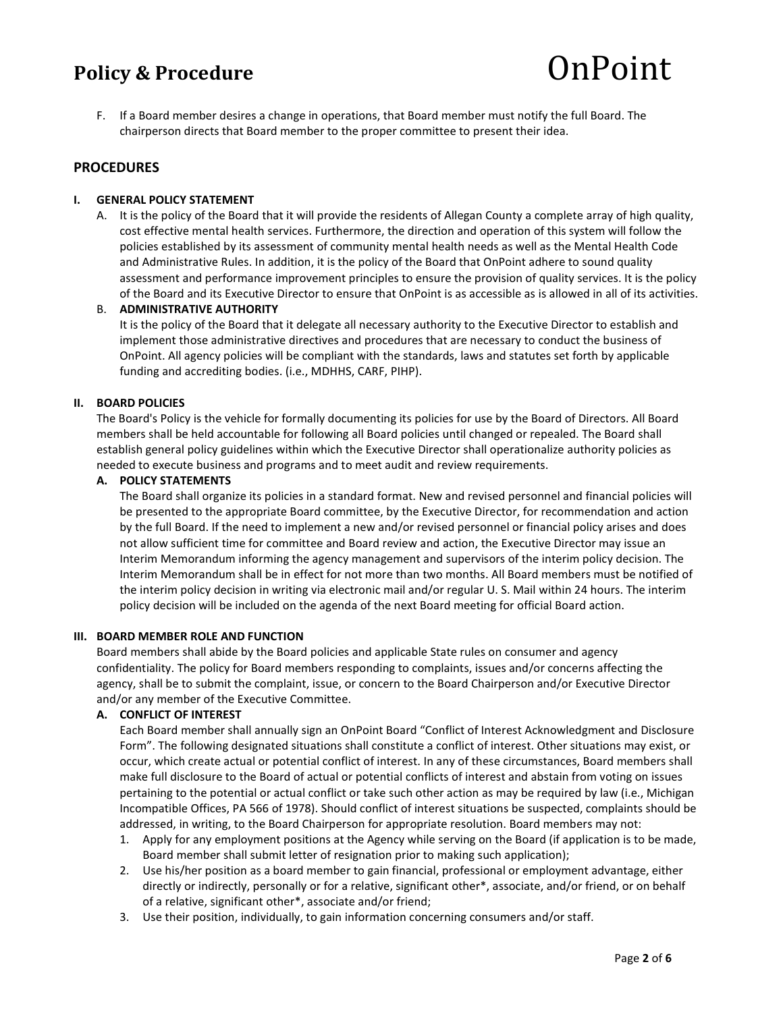F. If a Board member desires a change in operations, that Board member must notify the full Board. The chairperson directs that Board member to the proper committee to present their idea.

# **PROCEDURES**

#### I. GENERAL POLICY STATEMENT

A. It is the policy of the Board that it will provide the residents of Allegan County a complete array of high quality, cost effective mental health services. Furthermore, the direction and operation of this system will follow the policies established by its assessment of community mental health needs as well as the Mental Health Code and Administrative Rules. In addition, it is the policy of the Board that OnPoint adhere to sound quality assessment and performance improvement principles to ensure the provision of quality services. It is the policy of the Board and its Executive Director to ensure that OnPoint is as accessible as is allowed in all of its activities.

#### B. ADMINISTRATIVE AUTHORITY

It is the policy of the Board that it delegate all necessary authority to the Executive Director to establish and implement those administrative directives and procedures that are necessary to conduct the business of OnPoint. All agency policies will be compliant with the standards, laws and statutes set forth by applicable funding and accrediting bodies. (i.e., MDHHS, CARF, PIHP).

#### II. BOARD POLICIES

The Board's Policy is the vehicle for formally documenting its policies for use by the Board of Directors. All Board members shall be held accountable for following all Board policies until changed or repealed. The Board shall establish general policy guidelines within which the Executive Director shall operationalize authority policies as needed to execute business and programs and to meet audit and review requirements.

#### A. POLICY STATEMENTS

The Board shall organize its policies in a standard format. New and revised personnel and financial policies will be presented to the appropriate Board committee, by the Executive Director, for recommendation and action by the full Board. If the need to implement a new and/or revised personnel or financial policy arises and does not allow sufficient time for committee and Board review and action, the Executive Director may issue an Interim Memorandum informing the agency management and supervisors of the interim policy decision. The Interim Memorandum shall be in effect for not more than two months. All Board members must be notified of the interim policy decision in writing via electronic mail and/or regular U. S. Mail within 24 hours. The interim policy decision will be included on the agenda of the next Board meeting for official Board action.

#### III. BOARD MEMBER ROLE AND FUNCTION

Board members shall abide by the Board policies and applicable State rules on consumer and agency confidentiality. The policy for Board members responding to complaints, issues and/or concerns affecting the agency, shall be to submit the complaint, issue, or concern to the Board Chairperson and/or Executive Director and/or any member of the Executive Committee.

## A. CONFLICT OF INTEREST

Each Board member shall annually sign an OnPoint Board "Conflict of Interest Acknowledgment and Disclosure Form". The following designated situations shall constitute a conflict of interest. Other situations may exist, or occur, which create actual or potential conflict of interest. In any of these circumstances, Board members shall make full disclosure to the Board of actual or potential conflicts of interest and abstain from voting on issues pertaining to the potential or actual conflict or take such other action as may be required by law (i.e., Michigan Incompatible Offices, PA 566 of 1978). Should conflict of interest situations be suspected, complaints should be addressed, in writing, to the Board Chairperson for appropriate resolution. Board members may not:

- 1. Apply for any employment positions at the Agency while serving on the Board (if application is to be made, Board member shall submit letter of resignation prior to making such application);
- 2. Use his/her position as a board member to gain financial, professional or employment advantage, either directly or indirectly, personally or for a relative, significant other\*, associate, and/or friend, or on behalf of a relative, significant other\*, associate and/or friend;
- 3. Use their position, individually, to gain information concerning consumers and/or staff.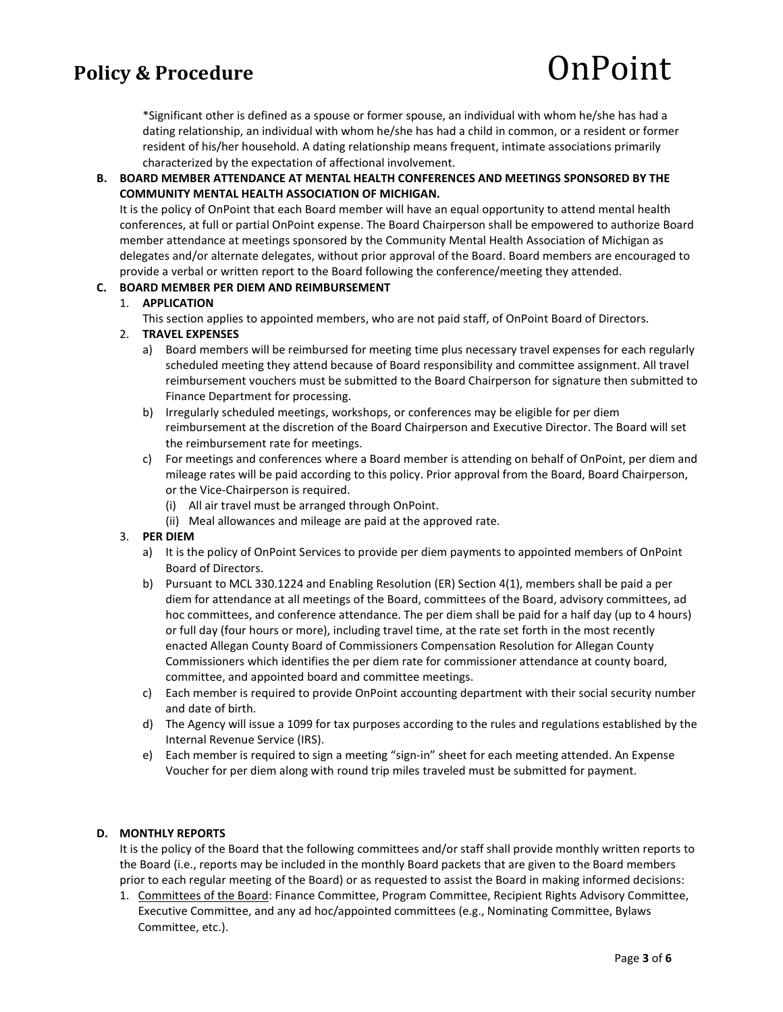\*Significant other is defined as a spouse or former spouse, an individual with whom he/she has had a dating relationship, an individual with whom he/she has had a child in common, or a resident or former resident of his/her household. A dating relationship means frequent, intimate associations primarily characterized by the expectation of affectional involvement.

# B. BOARD MEMBER ATTENDANCE AT MENTAL HEALTH CONFERENCES AND MEETINGS SPONSORED BY THE COMMUNITY MENTAL HEALTH ASSOCIATION OF MICHIGAN.

It is the policy of OnPoint that each Board member will have an equal opportunity to attend mental health conferences, at full or partial OnPoint expense. The Board Chairperson shall be empowered to authorize Board member attendance at meetings sponsored by the Community Mental Health Association of Michigan as delegates and/or alternate delegates, without prior approval of the Board. Board members are encouraged to provide a verbal or written report to the Board following the conference/meeting they attended.

## C. BOARD MEMBER PER DIEM AND REIMBURSEMENT

## 1. APPLICATION

This section applies to appointed members, who are not paid staff, of OnPoint Board of Directors.

## 2. TRAVEL EXPENSES

- a) Board members will be reimbursed for meeting time plus necessary travel expenses for each regularly scheduled meeting they attend because of Board responsibility and committee assignment. All travel reimbursement vouchers must be submitted to the Board Chairperson for signature then submitted to Finance Department for processing.
- b) Irregularly scheduled meetings, workshops, or conferences may be eligible for per diem reimbursement at the discretion of the Board Chairperson and Executive Director. The Board will set the reimbursement rate for meetings.
- c) For meetings and conferences where a Board member is attending on behalf of OnPoint, per diem and mileage rates will be paid according to this policy. Prior approval from the Board, Board Chairperson, or the Vice-Chairperson is required.
	- (i) All air travel must be arranged through OnPoint.
	- (ii) Meal allowances and mileage are paid at the approved rate.

## 3. PER DIEM

- a) It is the policy of OnPoint Services to provide per diem payments to appointed members of OnPoint Board of Directors.
- b) Pursuant to MCL 330.1224 and Enabling Resolution (ER) Section 4(1), members shall be paid a per diem for attendance at all meetings of the Board, committees of the Board, advisory committees, ad hoc committees, and conference attendance. The per diem shall be paid for a half day (up to 4 hours) or full day (four hours or more), including travel time, at the rate set forth in the most recently enacted Allegan County Board of Commissioners Compensation Resolution for Allegan County Commissioners which identifies the per diem rate for commissioner attendance at county board, committee, and appointed board and committee meetings.
- c) Each member is required to provide OnPoint accounting department with their social security number and date of birth.
- d) The Agency will issue a 1099 for tax purposes according to the rules and regulations established by the Internal Revenue Service (IRS).
- e) Each member is required to sign a meeting "sign-in" sheet for each meeting attended. An Expense Voucher for per diem along with round trip miles traveled must be submitted for payment.

## D. MONTHLY REPORTS

It is the policy of the Board that the following committees and/or staff shall provide monthly written reports to the Board (i.e., reports may be included in the monthly Board packets that are given to the Board members prior to each regular meeting of the Board) or as requested to assist the Board in making informed decisions:

1. Committees of the Board: Finance Committee, Program Committee, Recipient Rights Advisory Committee, Executive Committee, and any ad hoc/appointed committees (e.g., Nominating Committee, Bylaws Committee, etc.).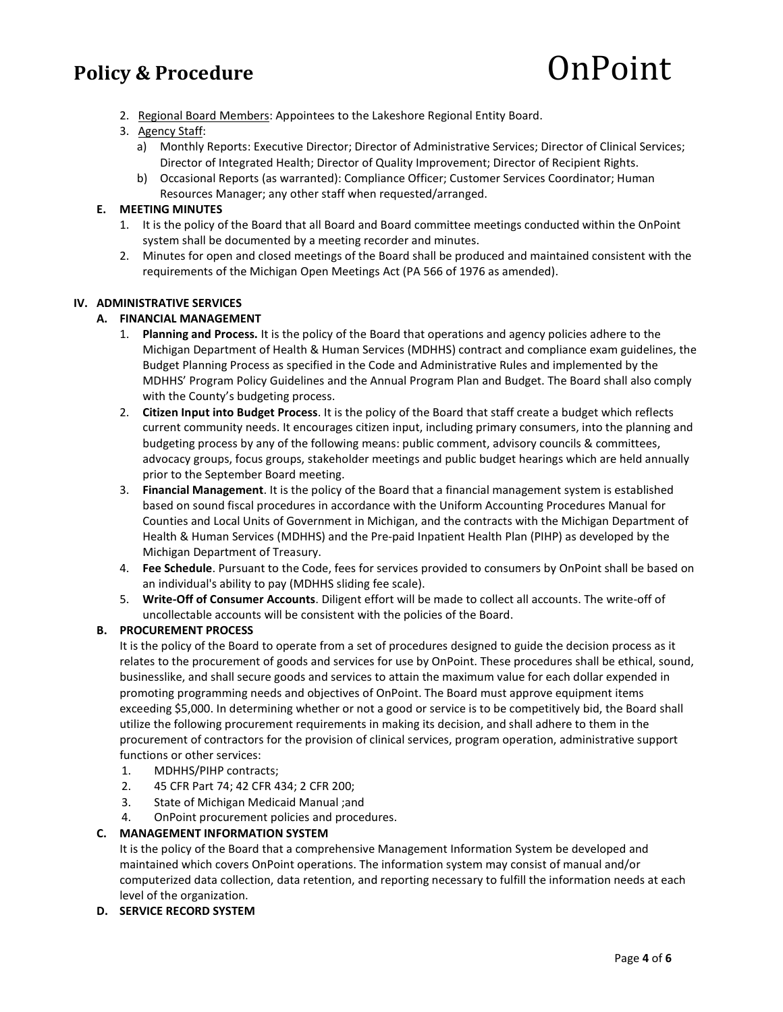2. Regional Board Members: Appointees to the Lakeshore Regional Entity Board.

# 3. Agency Staff:

- a) Monthly Reports: Executive Director; Director of Administrative Services; Director of Clinical Services; Director of Integrated Health; Director of Quality Improvement; Director of Recipient Rights.
- b) Occasional Reports (as warranted): Compliance Officer; Customer Services Coordinator; Human Resources Manager; any other staff when requested/arranged.

# E. MEETING MINUTES

- 1. It is the policy of the Board that all Board and Board committee meetings conducted within the OnPoint system shall be documented by a meeting recorder and minutes.
- 2. Minutes for open and closed meetings of the Board shall be produced and maintained consistent with the requirements of the Michigan Open Meetings Act (PA 566 of 1976 as amended).

## IV. ADMINISTRATIVE SERVICES

# A. FINANCIAL MANAGEMENT

- 1. Planning and Process. It is the policy of the Board that operations and agency policies adhere to the Michigan Department of Health & Human Services (MDHHS) contract and compliance exam guidelines, the Budget Planning Process as specified in the Code and Administrative Rules and implemented by the MDHHS' Program Policy Guidelines and the Annual Program Plan and Budget. The Board shall also comply with the County's budgeting process.
- 2. Citizen Input into Budget Process. It is the policy of the Board that staff create a budget which reflects current community needs. It encourages citizen input, including primary consumers, into the planning and budgeting process by any of the following means: public comment, advisory councils & committees, advocacy groups, focus groups, stakeholder meetings and public budget hearings which are held annually prior to the September Board meeting.
- 3. Financial Management. It is the policy of the Board that a financial management system is established based on sound fiscal procedures in accordance with the Uniform Accounting Procedures Manual for Counties and Local Units of Government in Michigan, and the contracts with the Michigan Department of Health & Human Services (MDHHS) and the Pre-paid Inpatient Health Plan (PIHP) as developed by the Michigan Department of Treasury.
- 4. Fee Schedule. Pursuant to the Code, fees for services provided to consumers by OnPoint shall be based on an individual's ability to pay (MDHHS sliding fee scale).
- 5. Write-Off of Consumer Accounts. Diligent effort will be made to collect all accounts. The write-off of uncollectable accounts will be consistent with the policies of the Board.

## B. PROCUREMENT PROCESS

It is the policy of the Board to operate from a set of procedures designed to guide the decision process as it relates to the procurement of goods and services for use by OnPoint. These procedures shall be ethical, sound, businesslike, and shall secure goods and services to attain the maximum value for each dollar expended in promoting programming needs and objectives of OnPoint. The Board must approve equipment items exceeding \$5,000. In determining whether or not a good or service is to be competitively bid, the Board shall utilize the following procurement requirements in making its decision, and shall adhere to them in the procurement of contractors for the provision of clinical services, program operation, administrative support functions or other services:

- 1. MDHHS/PIHP contracts;
- 2. 45 CFR Part 74; 42 CFR 434; 2 CFR 200;
- 3. State of Michigan Medicaid Manual ;and
- 4. OnPoint procurement policies and procedures.

# C. MANAGEMENT INFORMATION SYSTEM

It is the policy of the Board that a comprehensive Management Information System be developed and maintained which covers OnPoint operations. The information system may consist of manual and/or computerized data collection, data retention, and reporting necessary to fulfill the information needs at each level of the organization.

## D. SERVICE RECORD SYSTEM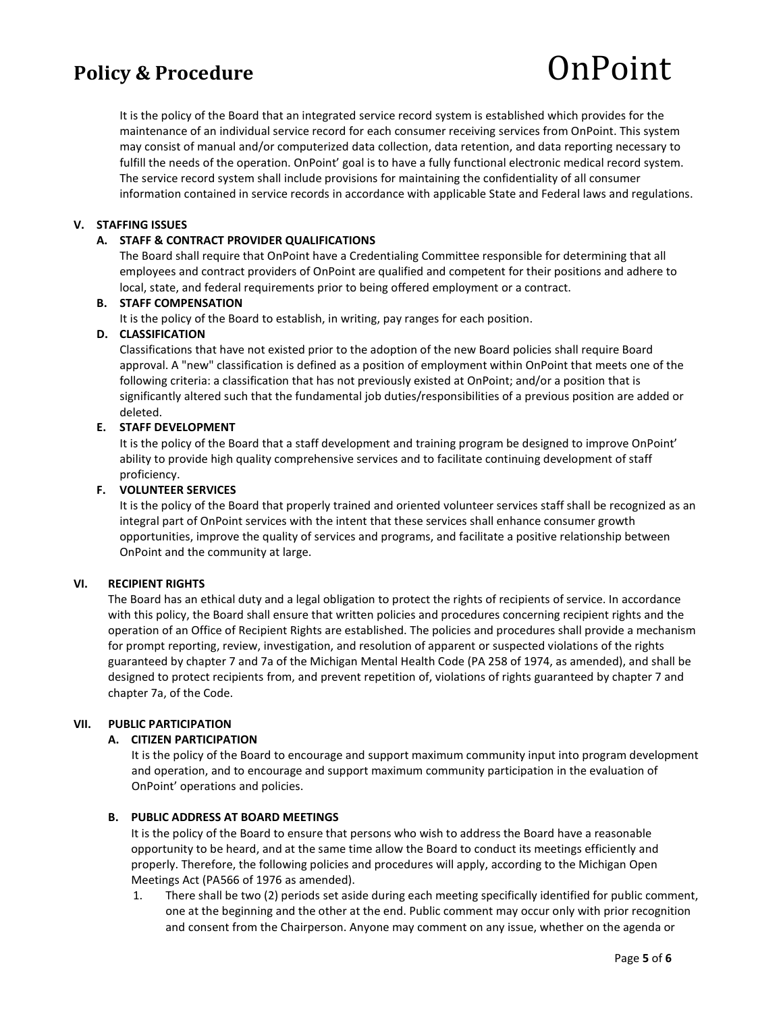It is the policy of the Board that an integrated service record system is established which provides for the maintenance of an individual service record for each consumer receiving services from OnPoint. This system may consist of manual and/or computerized data collection, data retention, and data reporting necessary to fulfill the needs of the operation. OnPoint' goal is to have a fully functional electronic medical record system. The service record system shall include provisions for maintaining the confidentiality of all consumer information contained in service records in accordance with applicable State and Federal laws and regulations.

#### V. STAFFING ISSUES

#### A. STAFF & CONTRACT PROVIDER QUALIFICATIONS

The Board shall require that OnPoint have a Credentialing Committee responsible for determining that all employees and contract providers of OnPoint are qualified and competent for their positions and adhere to local, state, and federal requirements prior to being offered employment or a contract.

#### B. STAFF COMPENSATION

It is the policy of the Board to establish, in writing, pay ranges for each position.

#### D. CLASSIFICATION

Classifications that have not existed prior to the adoption of the new Board policies shall require Board approval. A "new" classification is defined as a position of employment within OnPoint that meets one of the following criteria: a classification that has not previously existed at OnPoint; and/or a position that is significantly altered such that the fundamental job duties/responsibilities of a previous position are added or deleted.

#### E. STAFF DEVELOPMENT

It is the policy of the Board that a staff development and training program be designed to improve OnPoint' ability to provide high quality comprehensive services and to facilitate continuing development of staff proficiency.

#### F. VOLUNTEER SERVICES

It is the policy of the Board that properly trained and oriented volunteer services staff shall be recognized as an integral part of OnPoint services with the intent that these services shall enhance consumer growth opportunities, improve the quality of services and programs, and facilitate a positive relationship between OnPoint and the community at large.

#### VI. RECIPIENT RIGHTS

The Board has an ethical duty and a legal obligation to protect the rights of recipients of service. In accordance with this policy, the Board shall ensure that written policies and procedures concerning recipient rights and the operation of an Office of Recipient Rights are established. The policies and procedures shall provide a mechanism for prompt reporting, review, investigation, and resolution of apparent or suspected violations of the rights guaranteed by chapter 7 and 7a of the Michigan Mental Health Code (PA 258 of 1974, as amended), and shall be designed to protect recipients from, and prevent repetition of, violations of rights guaranteed by chapter 7 and chapter 7a, of the Code.

#### VII. PUBLIC PARTICIPATION

## A. CITIZEN PARTICIPATION

It is the policy of the Board to encourage and support maximum community input into program development and operation, and to encourage and support maximum community participation in the evaluation of OnPoint' operations and policies.

#### B. PUBLIC ADDRESS AT BOARD MEETINGS

It is the policy of the Board to ensure that persons who wish to address the Board have a reasonable opportunity to be heard, and at the same time allow the Board to conduct its meetings efficiently and properly. Therefore, the following policies and procedures will apply, according to the Michigan Open Meetings Act (PA566 of 1976 as amended).

1. There shall be two (2) periods set aside during each meeting specifically identified for public comment, one at the beginning and the other at the end. Public comment may occur only with prior recognition and consent from the Chairperson. Anyone may comment on any issue, whether on the agenda or